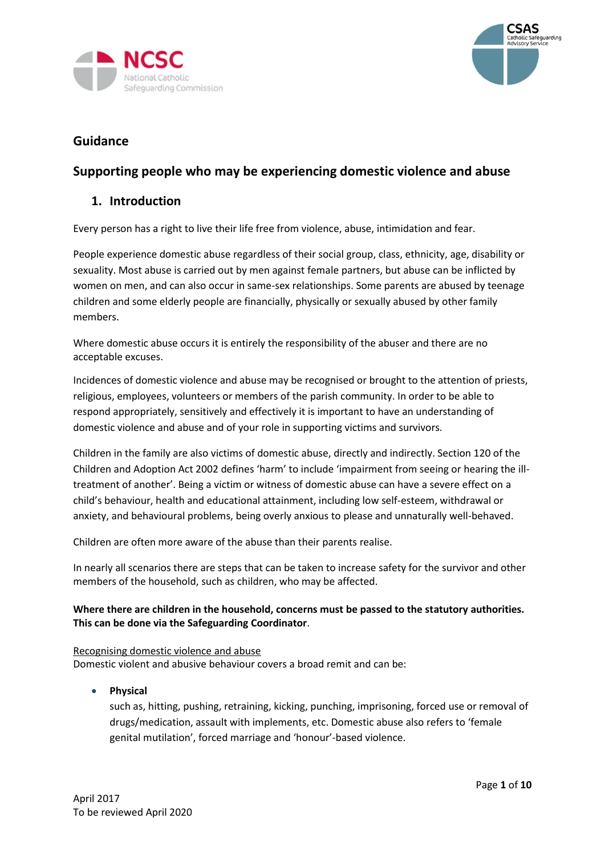



# **Guidance**

# **Supporting people who may be experiencing domestic violence and abuse**

# **1. Introduction**

Every person has a right to live their life free from violence, abuse, intimidation and fear.

People experience domestic abuse regardless of their social group, class, ethnicity, age, disability or sexuality. Most abuse is carried out by men against female partners, but abuse can be inflicted by women on men, and can also occur in same-sex relationships. Some parents are abused by teenage children and some elderly people are financially, physically or sexually abused by other family members.

Where domestic abuse occurs it is entirely the responsibility of the abuser and there are no acceptable excuses.

Incidences of domestic violence and abuse may be recognised or brought to the attention of priests, religious, employees, volunteers or members of the parish community. In order to be able to respond appropriately, sensitively and effectively it is important to have an understanding of domestic violence and abuse and of your role in supporting victims and survivors.

Children in the family are also victims of domestic abuse, directly and indirectly. Section 120 of the Children and Adoption Act 2002 defines 'harm' to include 'impairment from seeing or hearing the illtreatment of another'. Being a victim or witness of domestic abuse can have a severe effect on a child's behaviour, health and educational attainment, including low self-esteem, withdrawal or anxiety, and behavioural problems, being overly anxious to please and unnaturally well-behaved.

Children are often more aware of the abuse than their parents realise.

In nearly all scenarios there are steps that can be taken to increase safety for the survivor and other members of the household, such as children, who may be affected.

# **Where there are children in the household, concerns must be passed to the statutory authorities. This can be done via the Safeguarding Coordinator**.

Recognising domestic violence and abuse Domestic violent and abusive behaviour covers a broad remit and can be:

• **Physical**

such as, hitting, pushing, retraining, kicking, punching, imprisoning, forced use or removal of drugs/medication, assault with implements, etc. Domestic abuse also refers to 'female genital mutilation', forced marriage and 'honour'-based violence.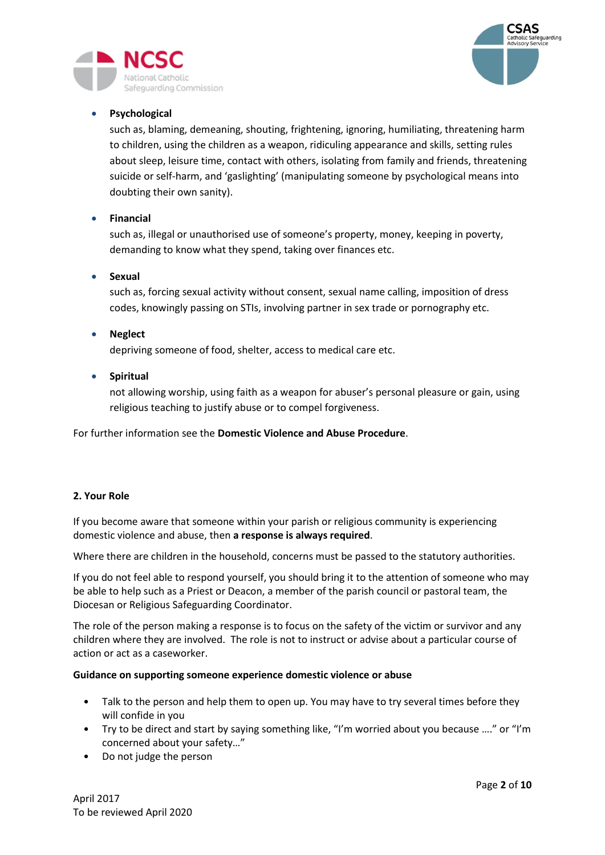

# • **Psychological**

eguarding Commission

such as, blaming, demeaning, shouting, frightening, ignoring, humiliating, threatening harm to children, using the children as a weapon, ridiculing appearance and skills, setting rules about sleep, leisure time, contact with others, isolating from family and friends, threatening suicide or self-harm, and 'gaslighting' (manipulating someone by psychological means into doubting their own sanity).

# • **Financial**

such as, illegal or unauthorised use of someone's property, money, keeping in poverty, demanding to know what they spend, taking over finances etc.

# • **Sexual**

such as, forcing sexual activity without consent, sexual name calling, imposition of dress codes, knowingly passing on STIs, involving partner in sex trade or pornography etc.

# • **Neglect**

depriving someone of food, shelter, access to medical care etc.

• **Spiritual**

not allowing worship, using faith as a weapon for abuser's personal pleasure or gain, using religious teaching to justify abuse or to compel forgiveness.

For further information see the **[Domestic Violence and Abuse Procedure](http://www.csasprocedures.uk.net/p_dom_viol_abuse.html)**.

# **2. Your Role**

If you become aware that someone within your parish or religious community is experiencing domestic violence and abuse, then **a response is always required**.

Where there are children in the household, concerns must be passed to the statutory authorities.

If you do not feel able to respond yourself, you should bring it to the attention of someone who may be able to help such as a Priest or Deacon, a member of the parish council or pastoral team, the Diocesan or Religious Safeguarding Coordinator.

The role of the person making a response is to focus on the safety of the victim or survivor and any children where they are involved. The role is not to instruct or advise about a particular course of action or act as a caseworker.

#### **Guidance on supporting someone experience domestic violence or abuse**

- Talk to the person and help them to open up. You may have to try several times before they will confide in you
- Try to be direct and start by saying something like, "I'm worried about you because …." or "I'm concerned about your safety…"
- Do not judge the person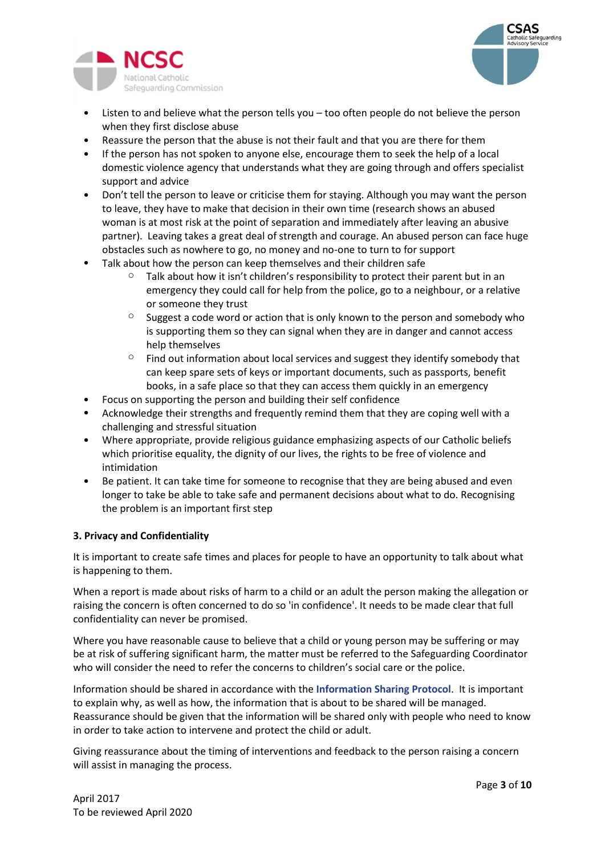



- Listen to and believe what the person tells you too often people do not believe the person when they first disclose abuse
- Reassure the person that the abuse is not their fault and that you are there for them
- If the person has not spoken to anyone else, encourage them to seek the help of a local domestic violence agency that understands what they are going through and offers specialist support and advice
- Don't tell the person to leave or criticise them for staying. Although you may want the person to leave, they have to make that decision in their own time (research shows an abused woman is at most risk at the point of separation and immediately after leaving an abusive partner). Leaving takes a great deal of strength and courage. An abused person can face huge obstacles such as nowhere to go, no money and no-one to turn to for support
- Talk about how the person can keep themselves and their children safe
	- $\degree$  Talk about how it isn't children's responsibility to protect their parent but in an emergency they could call for help from the police, go to a neighbour, or a relative or someone they trust
	- $\circ$  Suggest a code word or action that is only known to the person and somebody who is supporting them so they can signal when they are in danger and cannot access help themselves
	- $\circ$  Find out information about local services and suggest they identify somebody that can keep spare sets of keys or important documents, such as passports, benefit books, in a safe place so that they can access them quickly in an emergency
- Focus on supporting the person and building their self confidence
- Acknowledge their strengths and frequently remind them that they are coping well with a challenging and stressful situation
- Where appropriate, provide religious guidance emphasizing aspects of our Catholic beliefs which prioritise equality, the dignity of our lives, the rights to be free of violence and intimidation
- Be patient. It can take time for someone to recognise that they are being abused and even longer to take be able to take safe and permanent decisions about what to do. Recognising the problem is an important first step

# **3. Privacy and Confidentiality**

It is important to create safe times and places for people to have an opportunity to talk about what is happening to them.

When a report is made about risks of harm to a child or an adult the person making the allegation or raising the concern is often concerned to do so 'in confidence'. It needs to be made clear that full confidentiality can never be promised.

Where you have reasonable cause to believe that a child or young person may be suffering or may be at risk of suffering significant harm, the matter must be referred to the Safeguarding Coordinator who will consider the need to refer the concerns to children's social care or the police.

Information should be shared in accordance with the **[Information Sharing Protocol](http://www.csasprocedures.uk.net/p_info_share.html)**. It is important to explain why, as well as how, the information that is about to be shared will be managed. Reassurance should be given that the information will be shared only with people who need to know in order to take action to intervene and protect the child or adult.

Giving reassurance about the timing of interventions and feedback to the person raising a concern will assist in managing the process.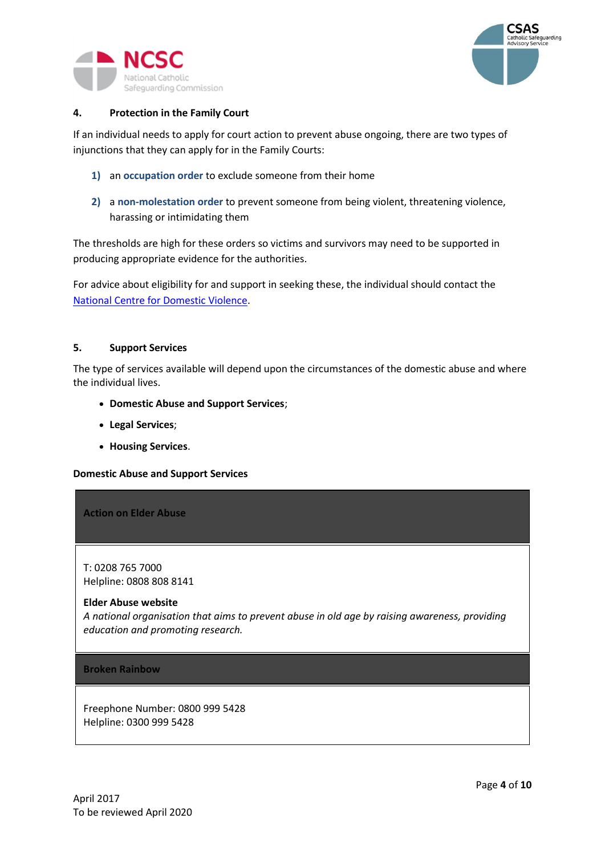



# **4. Protection in the Family Court**

If an individual needs to apply for court action to prevent abuse ongoing, there are two types of injunctions that they can apply for in the Family Courts:

- **1)** an **occupation order** to exclude someone from their home
- **2)** a **non-molestation order** to prevent someone from being violent, threatening violence, harassing or intimidating them

The thresholds are high for these orders so victims and survivors may need to be supported in producing appropriate evidence for the authorities.

For advice about eligibility for and support in seeking these, the individual should contact the [National Centre for Domestic Violence.](http://www.ncdv.org.uk/)

# **5. Support Services**

The type of services available will depend upon the circumstances of the domestic abuse and where the individual lives.

- **[Domestic Abuse and Support Services](http://www.csasprocedures.uk.net/p_domestic_abuse.html#domestic)**;
- **[Legal Services](http://www.csasprocedures.uk.net/p_domestic_abuse.html#legal)**;
- **[Housing Services](http://www.csasprocedures.uk.net/p_domestic_abuse.html#housing)**.

# **Domestic Abuse and Support Services**

**Action on Elder Abuse**

T: 0208 765 7000 Helpline: 0808 808 8141

#### **[Elder Abuse website](http://www.elderabuse.org.uk/)**

*A national organisation that aims to prevent abuse in old age by raising awareness, providing education and promoting research.*

**Broken Rainbow**

Freephone Number: 0800 999 5428 Helpline: 0300 999 5428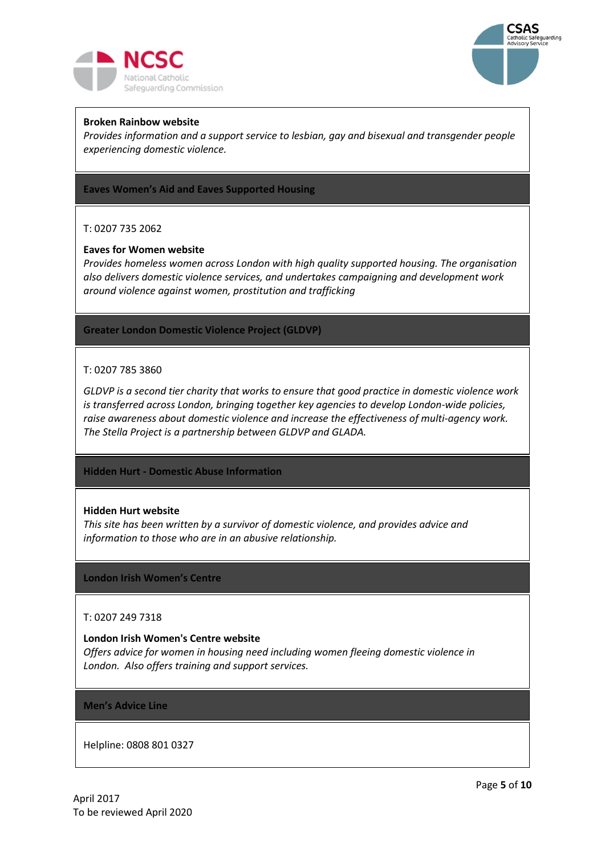



## **[Broken Rainbow website](http://www.brokenrainbow.org.uk/help/helpline)**

*Provides information and a support service to lesbian, gay and bisexual and transgender people experiencing domestic violence.*

**Eaves Women's Aid and Eaves Supported Housing**

# T: 0207 735 2062

#### **[Eaves for Women website](http://www.eavesforwomen.org.uk/)**

*Provides homeless women across London with high quality supported housing. The organisation also delivers domestic violence services, and undertakes campaigning and development work around violence against women, prostitution and trafficking*

**Greater London Domestic Violence Project (GLDVP)**

## T: 0207 785 3860

*GLDVP is a second tier charity that works to ensure that good practice in domestic violence work is transferred across London, bringing together key agencies to develop London-wide policies, raise awareness about domestic violence and increase the effectiveness of multi-agency work. The Stella Project is a partnership between GLDVP and GLADA.*

**Hidden Hurt - Domestic Abuse Information**

#### **[Hidden Hurt website](http://www.hiddenhurt.co.uk/)**

*This site has been written by a survivor of domestic violence, and provides advice and information to those who are in an abusive relationship.*

#### **London Irish Women's Centre**

#### T: 0207 249 7318

#### **[London Irish Women's Centre website](http://www.liwc.co.uk/)**

*Offers advice for women in housing need including women fleeing domestic violence in London. Also offers training and support services.*

# **Men's Advice Line**

Helpline: 0808 801 0327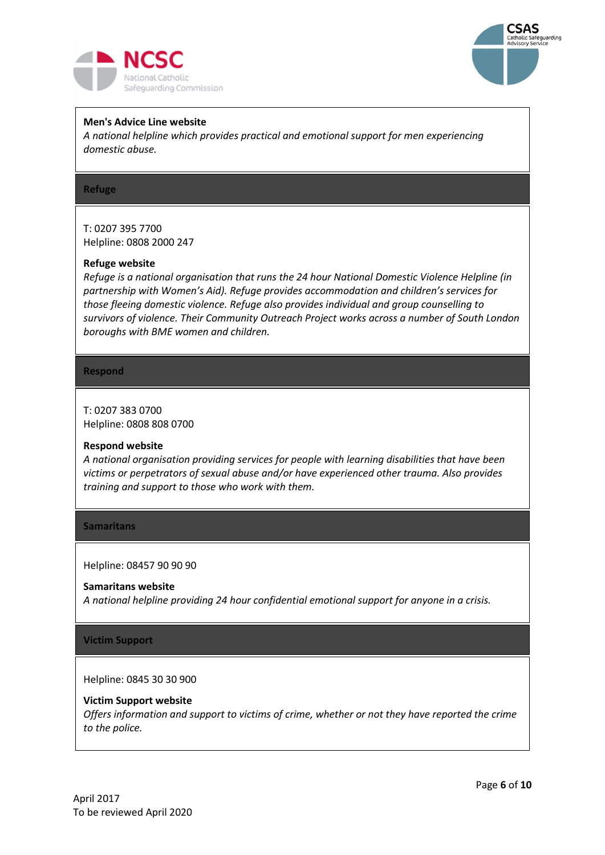



## **[Men's Advice Line website](http://www.mensadviceline.org.uk/)**

*A national helpline which provides practical and emotional support for men experiencing domestic abuse.*

## **Refuge**

T: 0207 395 7700 Helpline: 0808 2000 247

#### **[Refuge website](http://www.refuge.org.uk/)**

*Refuge is a national organisation that runs the 24 hour National Domestic Violence Helpline (in partnership with Women's Aid). Refuge provides accommodation and children's services for those fleeing domestic violence. Refuge also provides individual and group counselling to survivors of violence. Their Community Outreach Project works across a number of South London boroughs with BME women and children.*

#### **Respond**

T: 0207 383 0700 Helpline: 0808 808 0700

#### **[Respond website](http://www.respond.org.uk/)**

*A national organisation providing services for people with learning disabilities that have been victims or perpetrators of sexual abuse and/or have experienced other trauma. Also provides training and support to those who work with them.*

#### **Samaritans**

Helpline: 08457 90 90 90

#### **[Samaritans website](http://www.samaritans.org.uk/)**

*A national helpline providing 24 hour confidential emotional support for anyone in a crisis.*

#### **Victim Support**

Helpline: 0845 30 30 900

#### **[Victim Support website](https://www.victimsupport.org.uk/)**

*Offers information and support to victims of crime, whether or not they have reported the crime to the police.*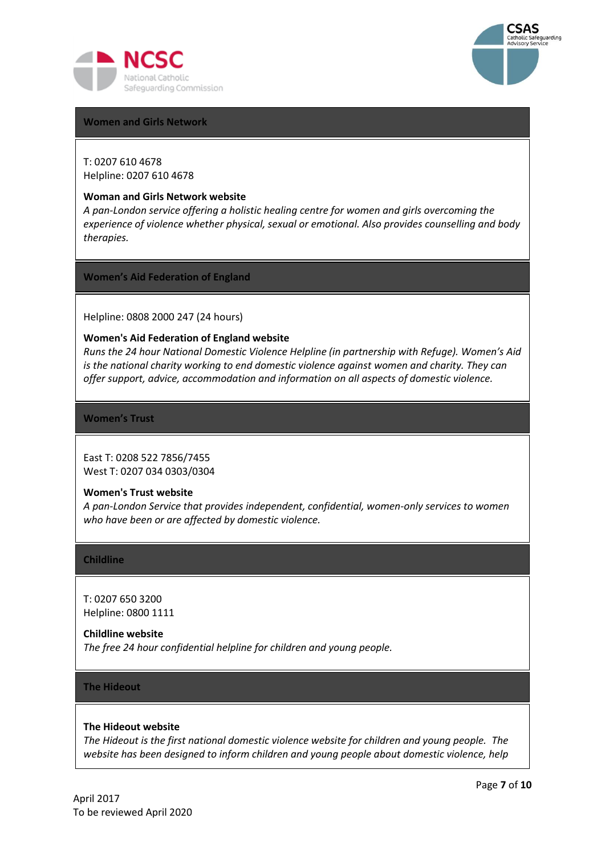



#### **Women and Girls Network**

T: 0207 610 4678 Helpline: 0207 610 4678

#### **[Woman and Girls Network website](http://www.wgn.org.uk/)**

*A pan-London service offering a holistic healing centre for women and girls overcoming the experience of violence whether physical, sexual or emotional. Also provides counselling and body therapies.*

**Women's Aid Federation of England**

Helpline: 0808 2000 247 (24 hours)

#### **[Women's Aid Federation of England website](https://www.womensaid.org.uk/)**

*Runs the 24 hour National Domestic Violence Helpline (in partnership with Refuge). Women's Aid is the national charity working to end domestic violence against women and charity. They can offer support, advice, accommodation and information on all aspects of domestic violence.*

**Women's Trust**

East T: 0208 522 7856/7455 West T: 0207 034 0303/0304

## **Women's [Trust website](http://www.womanstrust.org.uk/)**

*A pan-London Service that provides independent, confidential, women-only services to women who have been or are affected by domestic violence.*

#### **Childline**

T: 0207 650 3200 Helpline: 0800 1111

**[Childline website](http://www.childline.org.uk/)**

*The free 24 hour confidential helpline for children and young people.*

# **The Hideout**

# **[The Hideout website](http://www.thehideout.org.uk/)**

*The Hideout is the first national domestic violence website for children and young people. The website has been designed to inform children and young people about domestic violence, help*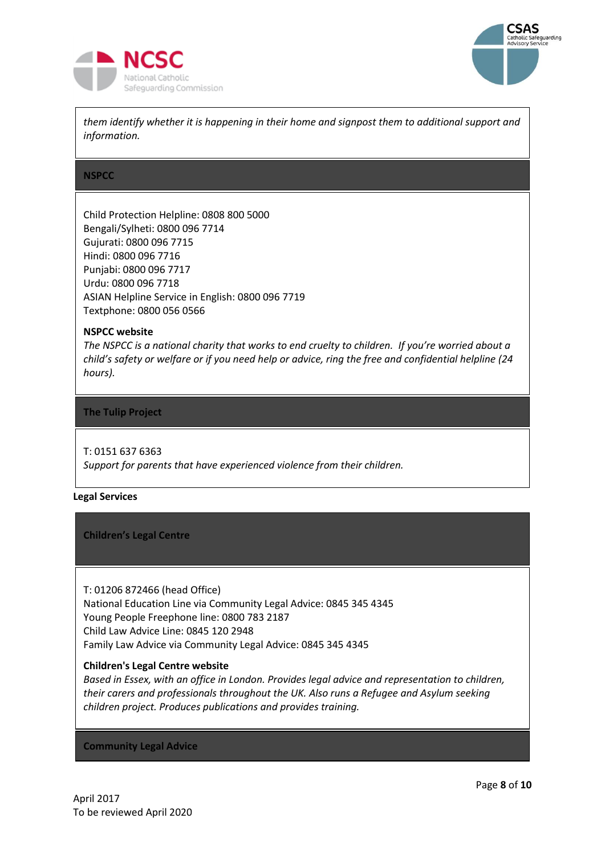



*them identify whether it is happening in their home and signpost them to additional support and information.*

## **NSPCC**

Child Protection Helpline: 0808 800 5000 Bengali/Sylheti: 0800 096 7714 Gujurati: 0800 096 7715 Hindi: 0800 096 7716 Punjabi: 0800 096 7717 Urdu: 0800 096 7718 ASIAN Helpline Service in English: 0800 096 7719 Textphone: 0800 056 0566

# **[NSPCC website](http://www.nspcc.org.uk/)**

*The NSPCC is a national charity that works to end cruelty to children. If you're worried about a child's safety or welfare or if you need help or advice, ring the free and confidential helpline (24 hours).*

## **The Tulip Project**

# T: 0151 637 6363

*Support for parents that have experienced violence from their children.*

#### **Legal Services**

#### **Children's Legal Centre**

T: 01206 872466 (head Office) National Education Line via Community Legal Advice: 0845 345 4345 Young People Freephone line: 0800 783 2187 Child Law Advice Line: 0845 120 2948 Family Law Advice via Community Legal Advice: 0845 345 4345

# **[Children's Legal Centre website](http://www.childrenslegalcentre.com/)**

*Based in Essex, with an office in London. Provides legal advice and representation to children, their carers and professionals throughout the UK. Also runs a Refugee and Asylum seeking children project. Produces publications and provides training.*

#### **Community Legal Advice**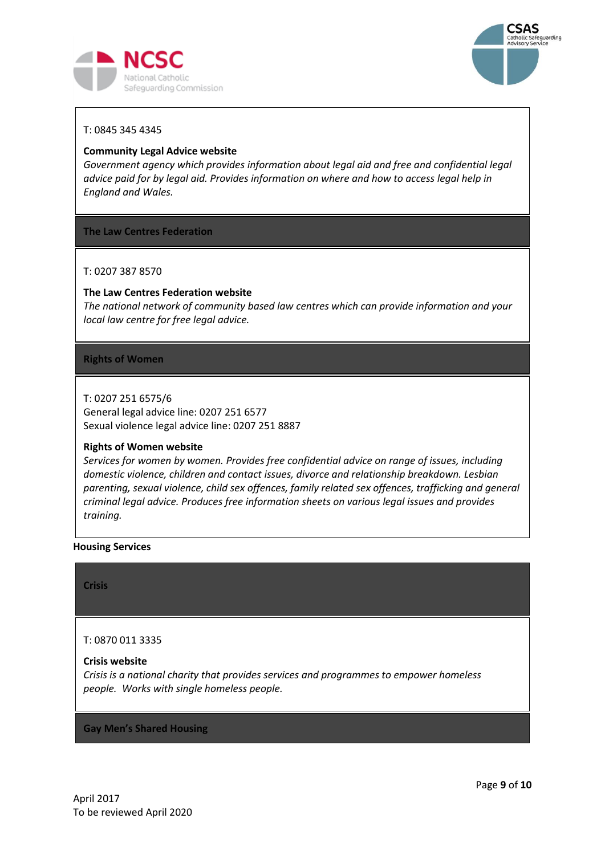



# T: 0845 345 4345

## **[Community Legal Advice website](http://www.clsdirect.org.uk/)**

*Government agency which provides information about legal aid and free and confidential legal advice paid for by legal aid. Provides information on where and how to access legal help in England and Wales.*

## **The Law Centres Federation**

T: 0207 387 8570

## **[The Law Centres Federation website](http://www.lawcentres.org.uk/)**

*The national network of community based law centres which can provide information and your local law centre for free legal advice.*

## **Rights of Women**

T: 0207 251 6575/6 General legal advice line: 0207 251 6577 Sexual violence legal advice line: 0207 251 8887

#### **[Rights of Women website](http://www.rightsofwomen.org.uk/)**

*Services for women by women. Provides free confidential advice on range of issues, including domestic violence, children and contact issues, divorce and relationship breakdown. Lesbian parenting, sexual violence, child sex offences, family related sex offences, trafficking and general criminal legal advice. Produces free information sheets on various legal issues and provides training.*

#### **Housing Services**

**Crisis**

#### T: 0870 011 3335

#### **[Crisis website](http://www.crisis.org.uk/)**

*Crisis is a national charity that provides services and programmes to empower homeless people. Works with single homeless people.*

**Gay Men's Shared Housing**